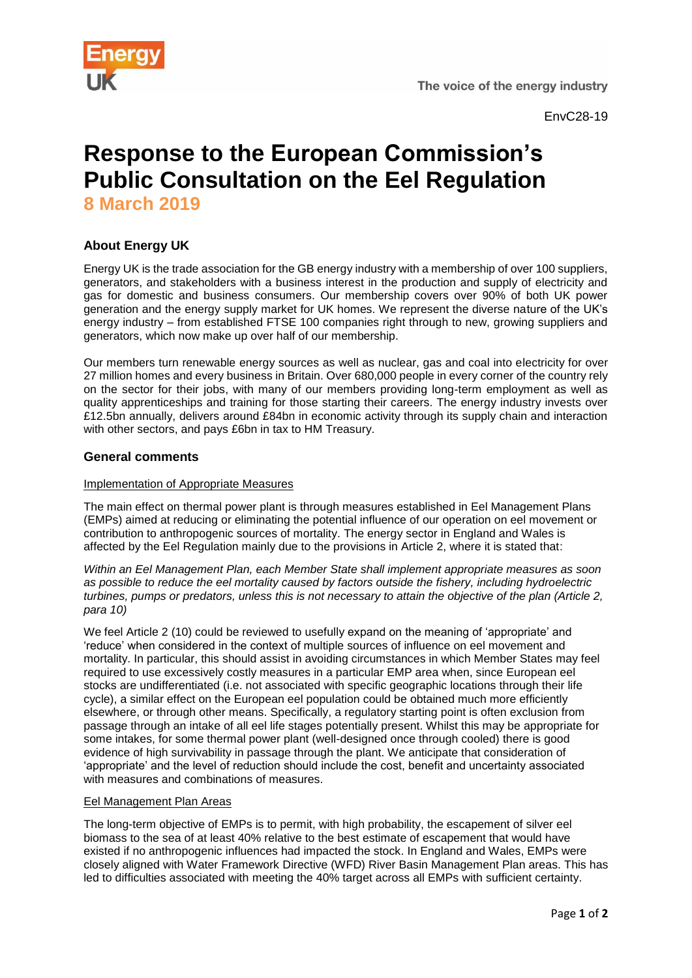



EnvC28-19

# **Response to the European Commission's Public Consultation on the Eel Regulation 8 March 2019**

# **About Energy UK**

Energy UK is the trade association for the GB energy industry with a membership of over 100 suppliers, generators, and stakeholders with a business interest in the production and supply of electricity and gas for domestic and business consumers. Our membership covers over 90% of both UK power generation and the energy supply market for UK homes. We represent the diverse nature of the UK's energy industry – from established FTSE 100 companies right through to new, growing suppliers and generators, which now make up over half of our membership.

Our members turn renewable energy sources as well as nuclear, gas and coal into electricity for over 27 million homes and every business in Britain. Over 680,000 people in every corner of the country rely on the sector for their jobs, with many of our members providing long-term employment as well as quality apprenticeships and training for those starting their careers. The energy industry invests over £12.5bn annually, delivers around £84bn in economic activity through its supply chain and interaction with other sectors, and pays £6bn in tax to HM Treasury.

## **General comments**

#### Implementation of Appropriate Measures

The main effect on thermal power plant is through measures established in Eel Management Plans (EMPs) aimed at reducing or eliminating the potential influence of our operation on eel movement or contribution to anthropogenic sources of mortality. The energy sector in England and Wales is affected by the Eel Regulation mainly due to the provisions in Article 2, where it is stated that:

*Within an Eel Management Plan, each Member State shall implement appropriate measures as soon as possible to reduce the eel mortality caused by factors outside the fishery, including hydroelectric turbines, pumps or predators, unless this is not necessary to attain the objective of the plan (Article 2, para 10)*

We feel Article 2 (10) could be reviewed to usefully expand on the meaning of 'appropriate' and 'reduce' when considered in the context of multiple sources of influence on eel movement and mortality. In particular, this should assist in avoiding circumstances in which Member States may feel required to use excessively costly measures in a particular EMP area when, since European eel stocks are undifferentiated (i.e. not associated with specific geographic locations through their life cycle), a similar effect on the European eel population could be obtained much more efficiently elsewhere, or through other means. Specifically, a regulatory starting point is often exclusion from passage through an intake of all eel life stages potentially present. Whilst this may be appropriate for some intakes, for some thermal power plant (well-designed once through cooled) there is good evidence of high survivability in passage through the plant. We anticipate that consideration of 'appropriate' and the level of reduction should include the cost, benefit and uncertainty associated with measures and combinations of measures.

#### Eel Management Plan Areas

The long-term objective of EMPs is to permit, with high probability, the escapement of silver eel biomass to the sea of at least 40% relative to the best estimate of escapement that would have existed if no anthropogenic influences had impacted the stock. In England and Wales, EMPs were closely aligned with Water Framework Directive (WFD) River Basin Management Plan areas. This has led to difficulties associated with meeting the 40% target across all EMPs with sufficient certainty.